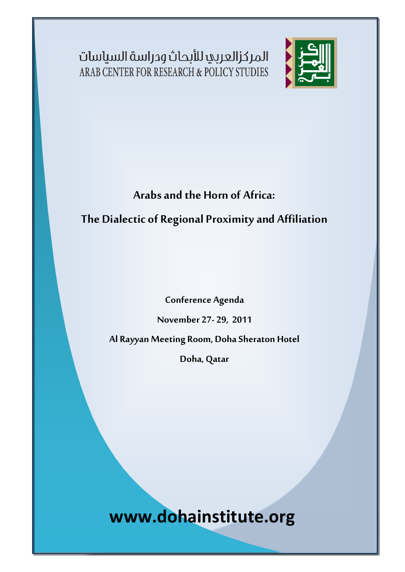المركزالعربي للأبحاث ودراسة السياسات ARAB CENTER FOR RESEARCH & POLICY STUDIES

i



## **Arabs and the Horn of Africa:**

**The Dialectic of Regional Proximity and Affiliation**

**Conference Agenda**

**November 27- 29, 2011**

**Al Rayyan Meeting Room, Doha Sheraton Hotel**

**Doha, Qatar**

**www.dohainstitute.org**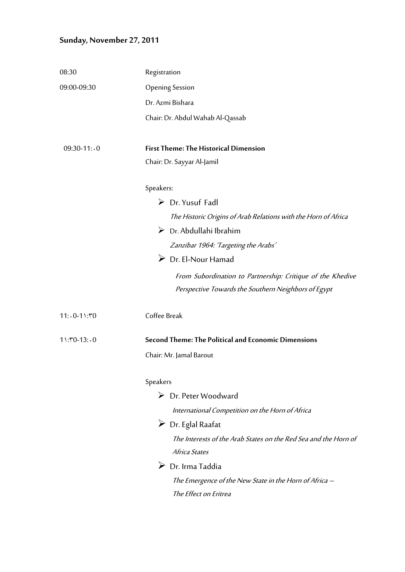## **Sunday, November 27, 2011**

| Registration                                                    |
|-----------------------------------------------------------------|
| <b>Opening Session</b>                                          |
| Dr. Azmi Bishara                                                |
| Chair: Dr. Abdul Wahab Al-Qassab                                |
| <b>First Theme: The Historical Dimension</b>                    |
| Chair: Dr. Sayyar Al-Jamil                                      |
| Speakers:                                                       |
| $\triangleright$ Dr. Yusuf Fadl                                 |
| The Historic Origins of Arab Relations with the Horn of Africa  |
| $\triangleright$ Dr. Abdullahi Ibrahim                          |
| Zanzibar 1964: 'Targeting the Arabs'                            |
| $\triangleright$ Dr. El-Nour Hamad                              |
| From Subordination to Partnership: Critique of the Khedive      |
| Perspective Towards the Southern Neighbors of Egypt             |
| Coffee Break                                                    |
| Second Theme: The Political and Economic Dimensions             |
| Chair: Mr. Jamal Barout                                         |
| Speakers                                                        |
| $\triangleright$ Dr. Peter Woodward                             |
| International Competition on the Horn of Africa                 |
| $\triangleright$ Dr. Eglal Raafat                               |
| The Interests of the Arab States on the Red Sea and the Horn of |
| Africa States                                                   |
| $\triangleright$ Dr. Irma Taddia                                |
| The Emergence of the New State in the Horn of Africa —          |
| The Effect on Eritrea                                           |
|                                                                 |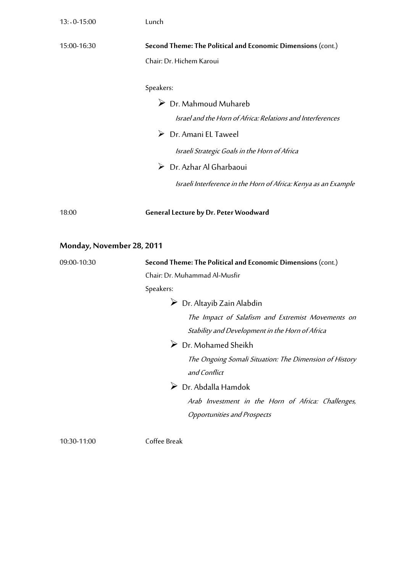| $13:0 - 15:00$            | Lunch                                                                                                                                                                                                                                                                                                                                                                                                                                                                                                              |
|---------------------------|--------------------------------------------------------------------------------------------------------------------------------------------------------------------------------------------------------------------------------------------------------------------------------------------------------------------------------------------------------------------------------------------------------------------------------------------------------------------------------------------------------------------|
| 15:00-16:30               | Second Theme: The Political and Economic Dimensions (cont.)<br>Chair: Dr. Hichem Karoui                                                                                                                                                                                                                                                                                                                                                                                                                            |
|                           | Speakers:<br>$\triangleright$ Dr. Mahmoud Muhareb<br>Israel and the Horn of Africa: Relations and Interferences<br>$\triangleright$ Dr. Amani EL Taweel<br>Israeli Strategic Goals in the Horn of Africa<br>$\triangleright$ Dr. Azhar Al Gharbaoui<br>Israeli Interference in the Horn of Africa: Kenya as an Example                                                                                                                                                                                             |
| 18:00                     | <b>General Lecture by Dr. Peter Woodward</b>                                                                                                                                                                                                                                                                                                                                                                                                                                                                       |
| Monday, November 28, 2011 |                                                                                                                                                                                                                                                                                                                                                                                                                                                                                                                    |
| 09:00-10:30               | Second Theme: The Political and Economic Dimensions (cont.)<br>Chair: Dr. Muhammad Al-Musfir<br>Speakers:<br>$\triangleright$ Dr. Altayib Zain Alabdin<br>The Impact of Salafism and Extremist Movements on<br>Stability and Development in the Horn of Africa<br>$\triangleright$ Dr. Mohamed Sheikh<br>The Ongoing Somali Situation: The Dimension of History<br>and Conflict<br>$\triangleright$ Dr. Abdalla Hamdok<br>Arab Investment in the Horn of Africa: Challenges,<br><b>Opportunities and Prospects</b> |

10:30-11:00 Coffee Break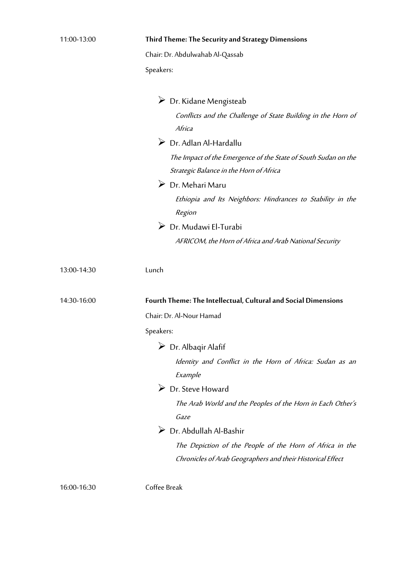| 11:00-13:00 | Third Theme: The Security and Strategy Dimensions                                                                                                                                                                                                                                                                                                                                                                                                                                      |
|-------------|----------------------------------------------------------------------------------------------------------------------------------------------------------------------------------------------------------------------------------------------------------------------------------------------------------------------------------------------------------------------------------------------------------------------------------------------------------------------------------------|
|             | Chair: Dr. Abdulwahab Al-Qassab                                                                                                                                                                                                                                                                                                                                                                                                                                                        |
|             | Speakers:                                                                                                                                                                                                                                                                                                                                                                                                                                                                              |
|             | $\triangleright$ Dr. Kidane Mengisteab<br>Conflicts and the Challenge of State Building in the Horn of<br>Africa<br>$\triangleright$ Dr. Adlan Al-Hardallu<br>The Impact of the Emergence of the State of South Sudan on the<br>Strategic Balance in the Horn of Africa<br>$\triangleright$ Dr. Mehari Maru<br>Ethiopia and Its Neighbors: Hindrances to Stability in the<br>Region<br>$\triangleright$ Dr. Mudawi El-Turabi<br>AFRICOM, the Horn of Africa and Arab National Security |
| 13:00-14:30 | Lunch                                                                                                                                                                                                                                                                                                                                                                                                                                                                                  |
| 14:30-16:00 | Fourth Theme: The Intellectual, Cultural and Social Dimensions                                                                                                                                                                                                                                                                                                                                                                                                                         |
|             | Chair: Dr. Al-Nour Hamad                                                                                                                                                                                                                                                                                                                                                                                                                                                               |
|             | Speakers:                                                                                                                                                                                                                                                                                                                                                                                                                                                                              |
|             | $\triangleright$ Dr. Albaqir Alafif                                                                                                                                                                                                                                                                                                                                                                                                                                                    |
|             | Identity and Conflict in the Horn of Africa: Sudan as an<br>Example                                                                                                                                                                                                                                                                                                                                                                                                                    |
|             | $\triangleright$ Dr. Steve Howard                                                                                                                                                                                                                                                                                                                                                                                                                                                      |
|             | The Arab World and the Peoples of the Horn in Each Other's<br>Gaze                                                                                                                                                                                                                                                                                                                                                                                                                     |
|             | $\triangleright$ Dr. Abdullah Al-Bashir                                                                                                                                                                                                                                                                                                                                                                                                                                                |
|             | The Depiction of the People of the Horn of Africa in the<br>Chronicles of Arab Geographers and their Historical Effect                                                                                                                                                                                                                                                                                                                                                                 |

16:00-16:30 Coffee Break